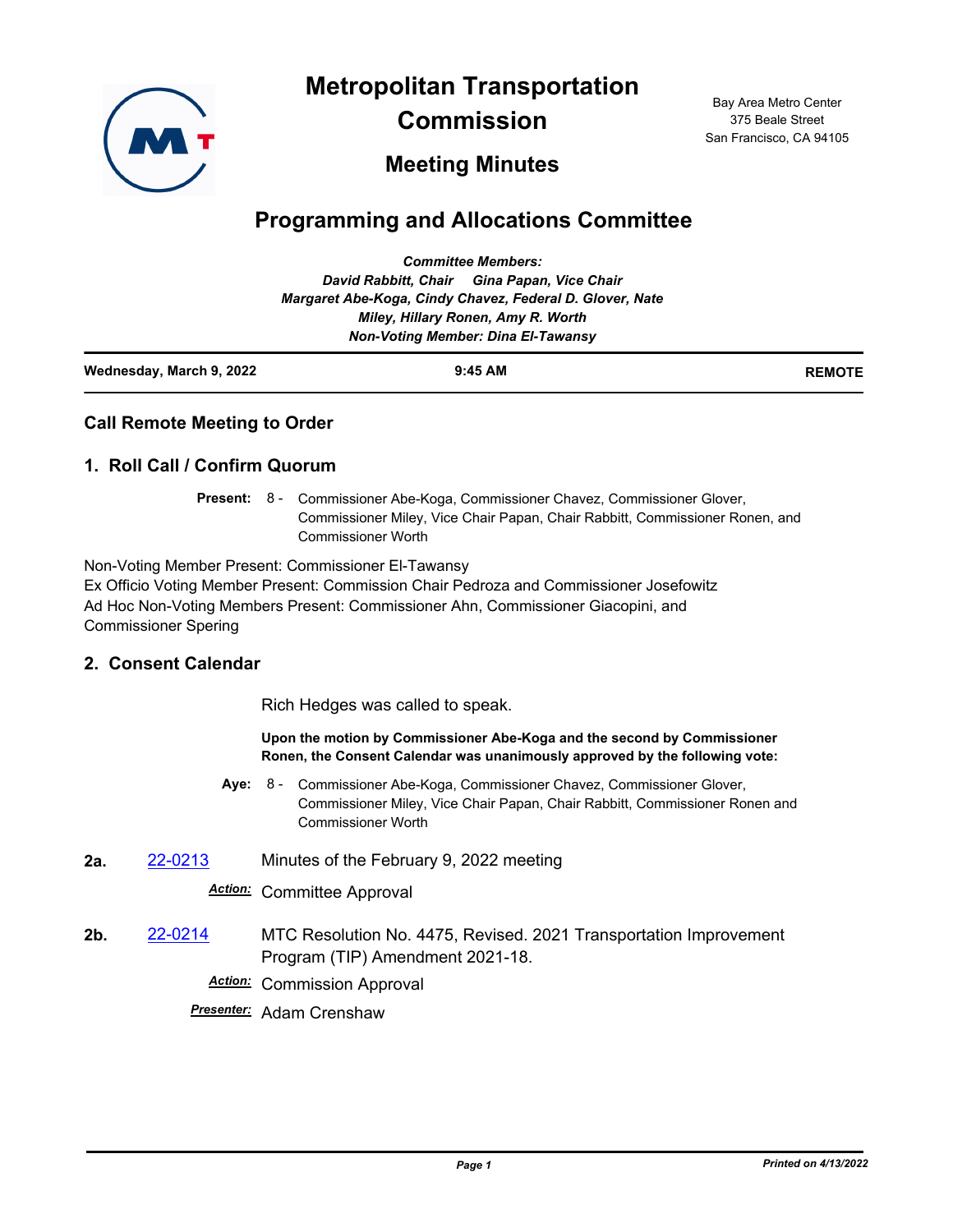

**Metropolitan Transportation** 

**Commission**

Bay Area Metro Center 375 Beale Street San Francisco, CA 94105

# **Meeting Minutes**

# **Programming and Allocations Committee**

| Wednesday, March 9, 2022 | $9:45$ AM                                                | <b>REMOTE</b> |
|--------------------------|----------------------------------------------------------|---------------|
|                          | <b>Non-Voting Member: Dina El-Tawansy</b>                |               |
|                          | Miley, Hillary Ronen, Amy R. Worth                       |               |
|                          | Margaret Abe-Koga, Cindy Chavez, Federal D. Glover, Nate |               |
|                          | David Rabbitt, Chair Gina Papan, Vice Chair              |               |
|                          | <b>Committee Members:</b>                                |               |

## **Call Remote Meeting to Order**

## **1. Roll Call / Confirm Quorum**

Present: 8 - Commissioner Abe-Koga, Commissioner Chavez, Commissioner Glover, Commissioner Miley, Vice Chair Papan, Chair Rabbitt, Commissioner Ronen, and Commissioner Worth

Non-Voting Member Present: Commissioner El-Tawansy Ex Officio Voting Member Present: Commission Chair Pedroza and Commissioner Josefowitz Ad Hoc Non-Voting Members Present: Commissioner Ahn, Commissioner Giacopini, and Commissioner Spering

# **2. Consent Calendar**

Rich Hedges was called to speak.

#### **Upon the motion by Commissioner Abe-Koga and the second by Commissioner Ronen, the Consent Calendar was unanimously approved by the following vote:**

- **Aye:** Commissioner Abe-Koga, Commissioner Chavez, Commissioner Glover, Commissioner Miley, Vice Chair Papan, Chair Rabbitt, Commissioner Ronen and Commissioner Worth Aye: 8 -
- **2a.** [22-0213](http://mtc.legistar.com/gateway.aspx?m=l&id=/matter.aspx?key=23472) Minutes of the February 9, 2022 meeting

#### *Action:* Committee Approval

**2b.** [22-0214](http://mtc.legistar.com/gateway.aspx?m=l&id=/matter.aspx?key=23473) MTC Resolution No. 4475, Revised. 2021 Transportation Improvement Program (TIP) Amendment 2021-18.

*Action:* Commission Approval

*Presenter:* Adam Crenshaw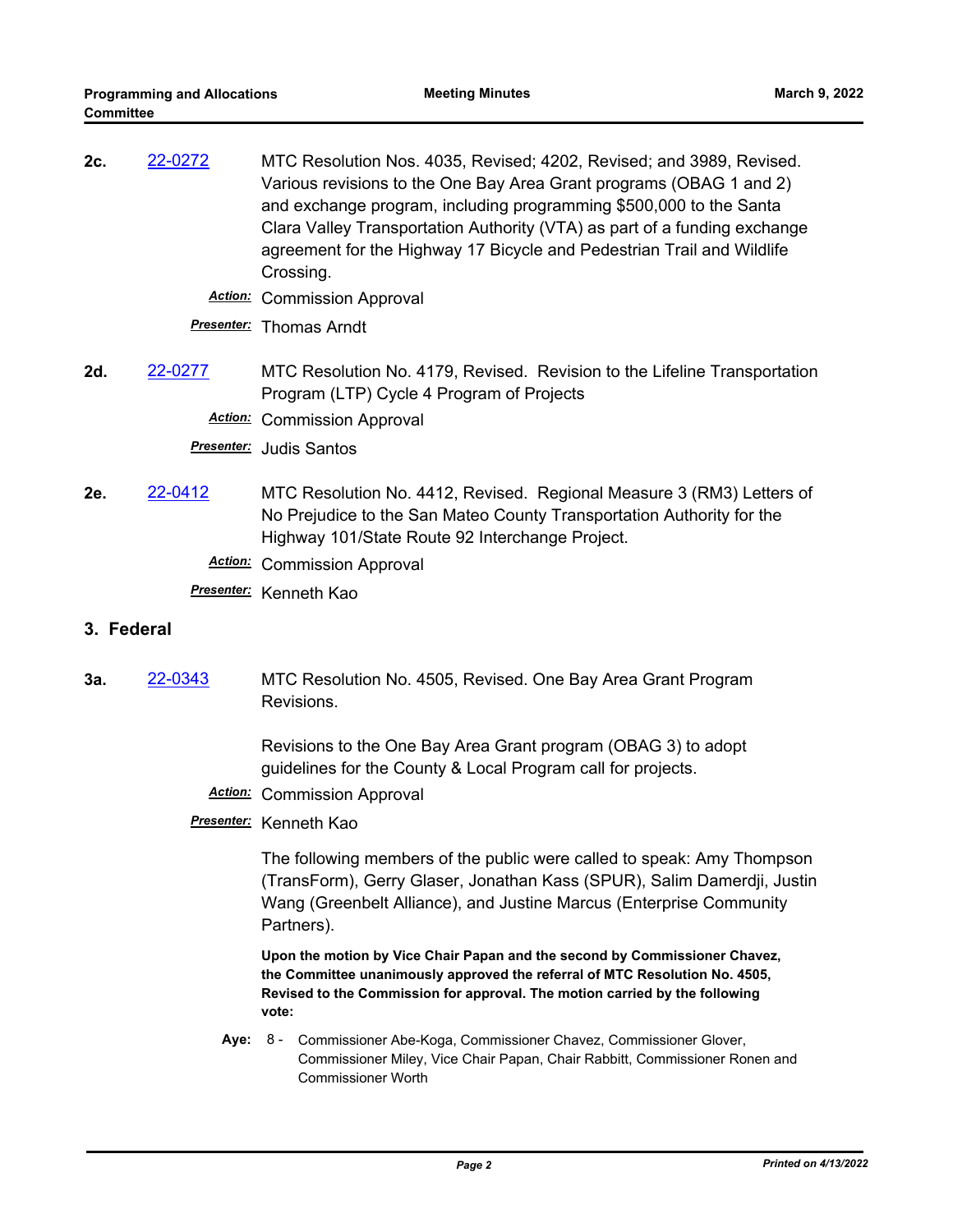**2c.** [22-0272](http://mtc.legistar.com/gateway.aspx?m=l&id=/matter.aspx?key=23531) MTC Resolution Nos. 4035, Revised; 4202, Revised; and 3989, Revised. Various revisions to the One Bay Area Grant programs (OBAG 1 and 2) and exchange program, including programming \$500,000 to the Santa Clara Valley Transportation Authority (VTA) as part of a funding exchange agreement for the Highway 17 Bicycle and Pedestrian Trail and Wildlife Crossing.

*Action:* Commission Approval

*Presenter:* Thomas Arndt

**2d.** [22-0277](http://mtc.legistar.com/gateway.aspx?m=l&id=/matter.aspx?key=23536) MTC Resolution No. 4179, Revised. Revision to the Lifeline Transportation Program (LTP) Cycle 4 Program of Projects

*Action:* Commission Approval

*Presenter:* Judis Santos

**2e.** [22-0412](http://mtc.legistar.com/gateway.aspx?m=l&id=/matter.aspx?key=23671) MTC Resolution No. 4412, Revised. Regional Measure 3 (RM3) Letters of No Prejudice to the San Mateo County Transportation Authority for the Highway 101/State Route 92 Interchange Project.

*Action:* Commission Approval

*Presenter:* Kenneth Kao

#### **3. Federal**

**3a.** [22-0343](http://mtc.legistar.com/gateway.aspx?m=l&id=/matter.aspx?key=23602) MTC Resolution No. 4505, Revised. One Bay Area Grant Program Revisions.

> Revisions to the One Bay Area Grant program (OBAG 3) to adopt guidelines for the County & Local Program call for projects.

*Action:* Commission Approval

### *Presenter:* Kenneth Kao

The following members of the public were called to speak: Amy Thompson (TransForm), Gerry Glaser, Jonathan Kass (SPUR), Salim Damerdji, Justin Wang (Greenbelt Alliance), and Justine Marcus (Enterprise Community Partners).

**Upon the motion by Vice Chair Papan and the second by Commissioner Chavez, the Committee unanimously approved the referral of MTC Resolution No. 4505, Revised to the Commission for approval. The motion carried by the following vote:**

Aye: 8 - Commissioner Abe-Koga, Commissioner Chavez, Commissioner Glover, Commissioner Miley, Vice Chair Papan, Chair Rabbitt, Commissioner Ronen and Commissioner Worth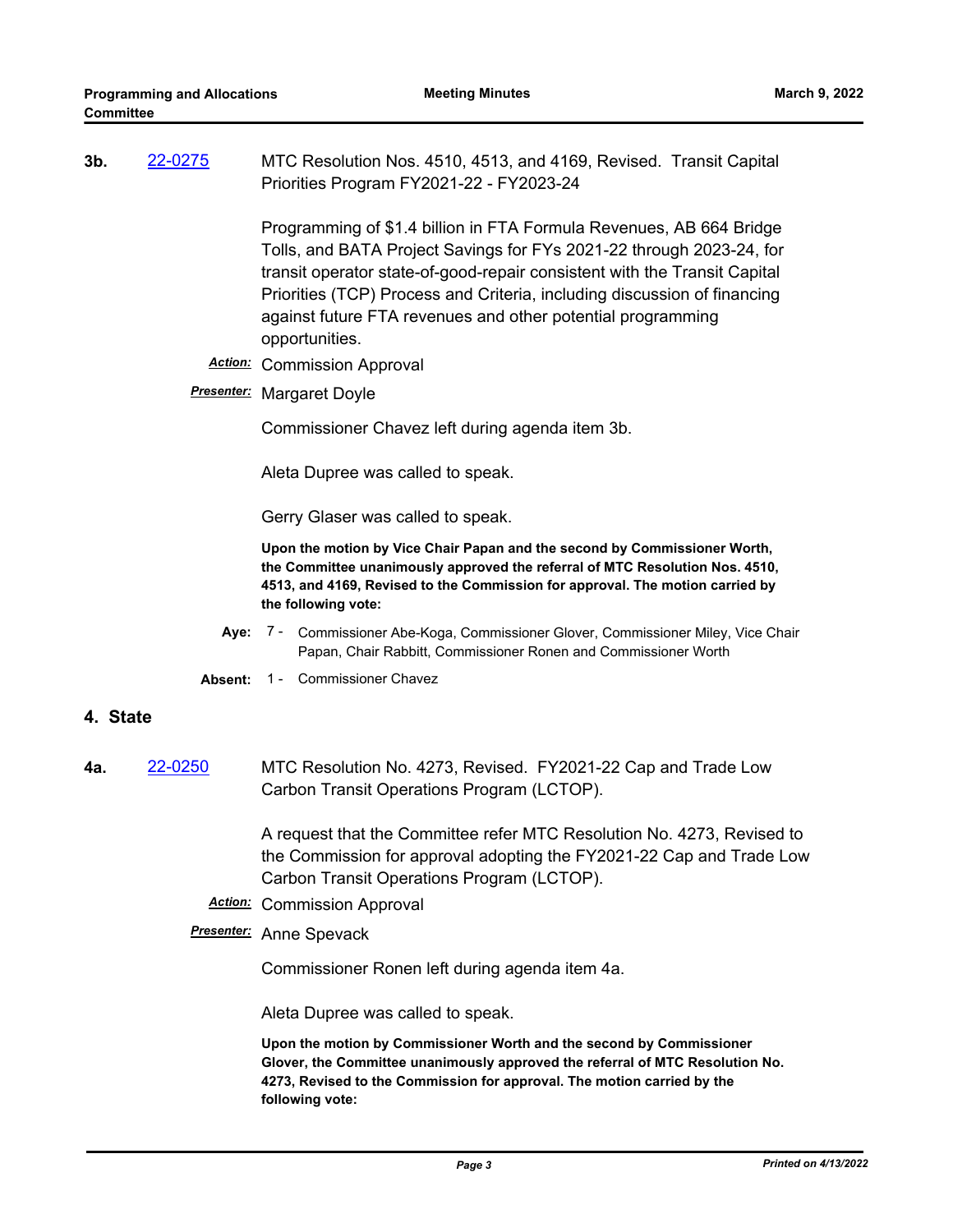| 3b.      | 22-0275        | MTC Resolution Nos. 4510, 4513, and 4169, Revised. Transit Capital<br>Priorities Program FY2021-22 - FY2023-24                                                                                                                                                                                                                                                                        |  |  |
|----------|----------------|---------------------------------------------------------------------------------------------------------------------------------------------------------------------------------------------------------------------------------------------------------------------------------------------------------------------------------------------------------------------------------------|--|--|
|          |                | Programming of \$1.4 billion in FTA Formula Revenues, AB 664 Bridge<br>Tolls, and BATA Project Savings for FYs 2021-22 through 2023-24, for<br>transit operator state-of-good-repair consistent with the Transit Capital<br>Priorities (TCP) Process and Criteria, including discussion of financing<br>against future FTA revenues and other potential programming<br>opportunities. |  |  |
|          | <b>Action:</b> | <b>Commission Approval</b>                                                                                                                                                                                                                                                                                                                                                            |  |  |
|          |                | <b>Presenter:</b> Margaret Doyle                                                                                                                                                                                                                                                                                                                                                      |  |  |
|          |                | Commissioner Chavez left during agenda item 3b.                                                                                                                                                                                                                                                                                                                                       |  |  |
|          |                | Aleta Dupree was called to speak.                                                                                                                                                                                                                                                                                                                                                     |  |  |
|          |                | Gerry Glaser was called to speak.                                                                                                                                                                                                                                                                                                                                                     |  |  |
|          |                | Upon the motion by Vice Chair Papan and the second by Commissioner Worth,<br>the Committee unanimously approved the referral of MTC Resolution Nos. 4510,<br>4513, and 4169, Revised to the Commission for approval. The motion carried by<br>the following vote:                                                                                                                     |  |  |
|          | Aye:           | 7 - Commissioner Abe-Koga, Commissioner Glover, Commissioner Miley, Vice Chair<br>Papan, Chair Rabbitt, Commissioner Ronen and Commissioner Worth                                                                                                                                                                                                                                     |  |  |
|          | Absent:        | 1 - Commissioner Chavez                                                                                                                                                                                                                                                                                                                                                               |  |  |
| 4. State |                |                                                                                                                                                                                                                                                                                                                                                                                       |  |  |
| 4а.      | 22-0250        | MTC Resolution No. 4273, Revised. FY2021-22 Cap and Trade Low<br>Carbon Transit Operations Program (LCTOP).                                                                                                                                                                                                                                                                           |  |  |
|          |                | A request that the Committee refer MTC Resolution No. 4273, Revised to<br>the Commission for approval adopting the FY2021-22 Cap and Trade Low<br>Carbon Transit Operations Program (LCTOP).                                                                                                                                                                                          |  |  |
|          |                | <b>Action:</b> Commission Approval                                                                                                                                                                                                                                                                                                                                                    |  |  |
|          |                | <b>Presenter:</b> Anne Spevack                                                                                                                                                                                                                                                                                                                                                        |  |  |
|          |                | Commissioner Ronen left during agenda item 4a.                                                                                                                                                                                                                                                                                                                                        |  |  |

Aleta Dupree was called to speak.

**Upon the motion by Commissioner Worth and the second by Commissioner Glover, the Committee unanimously approved the referral of MTC Resolution No. 4273, Revised to the Commission for approval. The motion carried by the following vote:**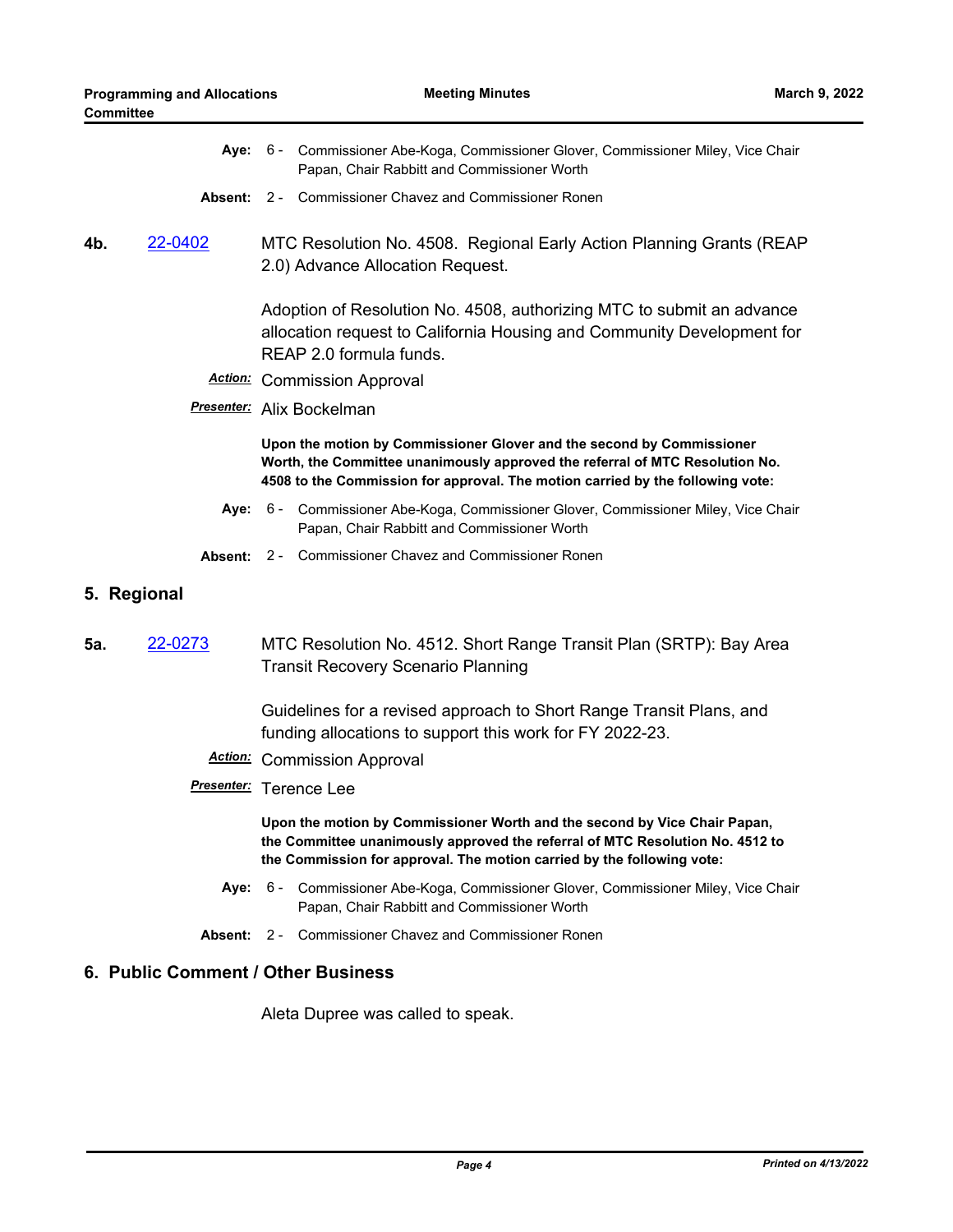|  | Aye: 6 - Commissioner Abe-Koga, Commissioner Glover, Commissioner Miley, Vice Chair |
|--|-------------------------------------------------------------------------------------|
|  | Papan, Chair Rabbitt and Commissioner Worth                                         |

- **Absent:** 2 Commissioner Chavez and Commissioner Ronen
- **4b.** [22-0402](http://mtc.legistar.com/gateway.aspx?m=l&id=/matter.aspx?key=23661) MTC Resolution No. 4508. Regional Early Action Planning Grants (REAP 2.0) Advance Allocation Request.

Adoption of Resolution No. 4508, authorizing MTC to submit an advance allocation request to California Housing and Community Development for REAP 2.0 formula funds.

- *Action:* Commission Approval
- *Presenter:* Alix Bockelman

**Upon the motion by Commissioner Glover and the second by Commissioner Worth, the Committee unanimously approved the referral of MTC Resolution No. 4508 to the Commission for approval. The motion carried by the following vote:**

- Aye: 6 Commissioner Abe-Koga, Commissioner Glover, Commissioner Miley, Vice Chair Papan, Chair Rabbitt and Commissioner Worth
- **Absent:** 2 Commissioner Chavez and Commissioner Ronen
- **5. Regional**
- **5a.** [22-0273](http://mtc.legistar.com/gateway.aspx?m=l&id=/matter.aspx?key=23532) MTC Resolution No. 4512. Short Range Transit Plan (SRTP): Bay Area Transit Recovery Scenario Planning

Guidelines for a revised approach to Short Range Transit Plans, and funding allocations to support this work for FY 2022-23.

- *Action:* Commission Approval
- *Presenter:* Terence Lee

**Upon the motion by Commissioner Worth and the second by Vice Chair Papan, the Committee unanimously approved the referral of MTC Resolution No. 4512 to the Commission for approval. The motion carried by the following vote:**

- **Aye:** Commissioner Abe-Koga, Commissioner Glover, Commissioner Miley, Vice Chair Papan, Chair Rabbitt and Commissioner Worth Aye: 6 -
- **Absent:** 2 Commissioner Chavez and Commissioner Ronen

#### **6. Public Comment / Other Business**

Aleta Dupree was called to speak.